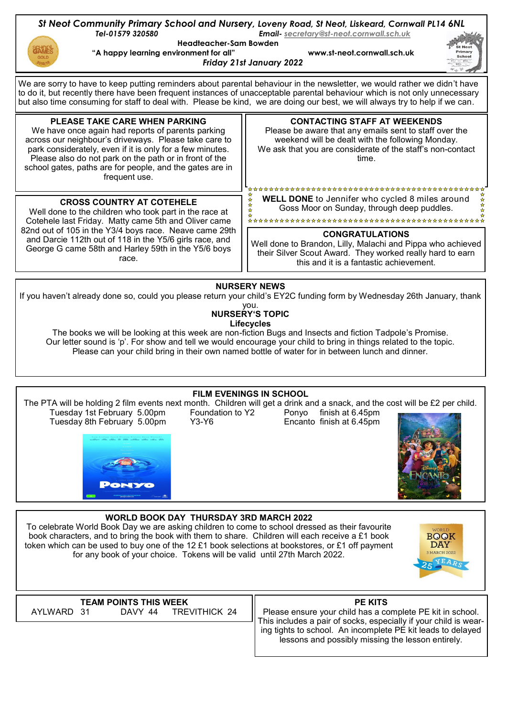

## **NURSERY'S TOPIC Lifecycles**

The books we will be looking at this week are non-fiction Bugs and Insects and fiction Tadpole's Promise. Our letter sound is 'p'. For show and tell we would encourage your child to bring in things related to the topic. Please can your child bring in their own named bottle of water for in between lunch and dinner.

## **WORLD BOOK DAY THURSDAY 3RD MARCH 2022 FILM EVENINGS IN SCHOOL** The PTA will be holding 2 film events next month. Children will get a drink and a snack, and the cost will be £2 per child. Tuesday 1st February 5.00pm Foundation to Y2 Ponyo finish at 6.45pm<br>Tuesday 8th February 5.00pm Y3-Y6 Encanto finish at 6.45pm Tuesday 8th February 5.00pm

To celebrate World Book Day we are asking children to come to school dressed as their favourite book characters, and to bring the book with them to share. Children will each receive a £1 book token which can be used to buy one of the 12 £1 book selections at bookstores, or £1 off payment for any book of your choice. Tokens will be valid until 27th March 2022.



**TEAM POINTS THIS WEEK**<br>AYLWARD 31 DAVY 44 TRE **TREVITHICK 24** 

**PE KITS**

Please ensure your child has a complete PE kit in school. This includes a pair of socks, especially if your child is wearing tights to school. An incomplete PE kit leads to delayed lessons and possibly missing the lesson entirely.